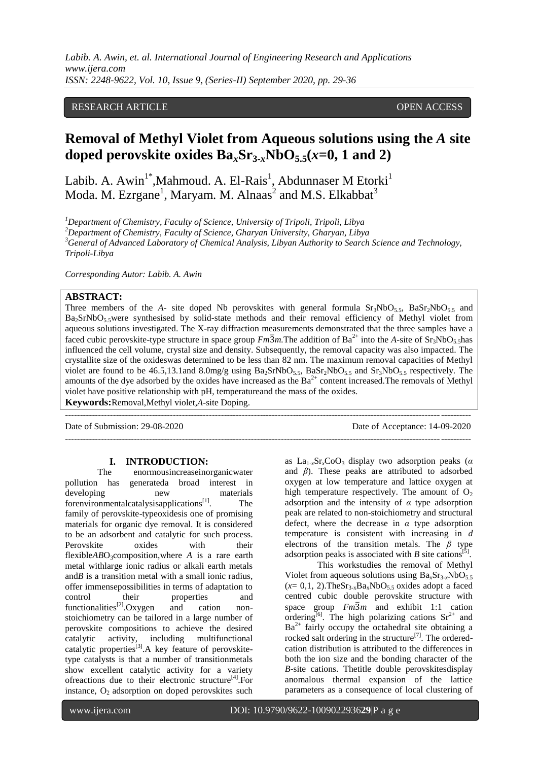*Labib. A. Awin, et. al. International Journal of Engineering Research and Applications www.ijera.com ISSN: 2248-9622, Vol. 10, Issue 9, (Series-II) September 2020, pp. 29-36*

# RESEARCH ARTICLE **CONTRACT ARTICLE** AND LOTE OPEN ACCESS

# **Removal of Methyl Violet from Aqueous solutions using the** *A* **site doped perovskite oxides**  $Ba<sub>x</sub>Sr<sub>3-r</sub>NbO<sub>5.5</sub>(x=0, 1 and 2)$

Labib. A. Awin $^{1^*}$ ,Mahmoud. A. El-Rais $^1$ , Abdunnaser M $\rm~Etorki$ Moda. M. Ezrgane<sup>1</sup>, Maryam. M. Alnaas<sup>2</sup> and M.S. Elkabbat<sup>3</sup>

*Department of Chemistry, Faculty of Science, University of Tripoli, Tripoli, Libya Department of Chemistry, Faculty of Science, Gharyan University, Gharyan, Libya General of Advanced Laboratory of Chemical Analysis, Libyan Authority to Search Science and Technology, Tripoli-Libya*

*Corresponding Autor: Labib. A. Awin*

# **ABSTRACT:**

Three members of the *A*- site doped Nb perovskites with general formula  $Sr<sub>3</sub>NbO<sub>5.5</sub>$ , BaSr<sub>2</sub>NbO<sub>5.5</sub> and Ba2SrNbO5.5were synthesised by solid-state methods and their removal efficiency of Methyl violet from aqueous solutions investigated. The X-ray diffraction measurements demonstrated that the three samples have a faced cubic perovskite-type structure in space group  $Fm\overline{3}m$ . The addition of Ba<sup>2+</sup> into the *A*-site of  $Sr_3NbO_5$ , has influenced the cell volume, crystal size and density. Subsequently, the removal capacity was also impacted. The crystallite size of the oxideswas determined to be less than 82 nm. The maximum removal capacities of Methyl violet are found to be 46.5,13.1and 8.0mg/g using  $Ba_2SrNbO_{5.5}$ ,  $BaSr_2NbO_{5.5}$  and  $Sr_3NbO_{5.5}$  respectively. The amounts of the dye adsorbed by the oxides have increased as the  $Ba^{2+}$  content increased. The removals of Methyl violet have positive relationship with pH, temperatureand the mass of the oxides.

---------------------------------------------------------------------------------------------------------------------------------------

---------------------------------------------------------------------------------------------------------------------------------------

**Keywords:**Removal,Methyl violet,*A*-site Doping.

Date of Submission: 29-08-2020 Date of Acceptance: 14-09-2020

**I. INTRODUCTION:**<br>The enormousincreaseino enormousincreaseinorganicwater pollution has generateda broad interest in developing new materials forenvironmentalcatalysisapplications $^{[1]}$  $^{[1]}$  $^{[1]}$ . . The family of perovskite-typeoxidesis one of promising materials for organic dye removal. It is considered to be an adsorbent and catalytic for such process. Perovskite oxides with their flexible*AB*O<sub>3</sub>composition, where *A* is a rare earth metal withlarge ionic radius or alkali earth metals and*B* is a transition metal with a small ionic radius, offer immensepossibilities in terms of adaptation to control their properties and<br>functionalities<sup>[2]</sup>.Oxygen and cation non-functionalities<sup>[\[2\]](#page-6-1)</sup>.Oxygen and cation nonstoichiometry can be tailored in a large number of perovskite compositions to achieve the desired catalytic activity, including multifunctional catalytic properties<sup>[\[3\]](#page-6-2)</sup>. A key feature of perovskitetype catalysts is that a number of transitionmetals show excellent catalytic activity for a variety ofreactions due to their electronic structure<sup>[\[4\]](#page-6-3)</sup>.For instance,  $O_2$  adsorption on doped perovskites such

as  $La_{1-r}Sr_rCoO_3$  display two adsorption peaks ( $\alpha$ and *β*). These peaks are attributed to adsorbed oxygen at low temperature and lattice oxygen at high temperature respectively. The amount of  $O<sub>2</sub>$ adsorption and the intensity of *α* type adsorption peak are related to non-stoichiometry and structural defect, where the decrease in *α* type adsorption temperature is consistent with increasing in *d* electrons of the transition metals. The *β* type adsorption peaks is associated with  $B$  site cations<sup>[\[5\]](#page-6-4)</sup> .

This workstudies the removal of Methyl Violet from aqueous solutions using  $Ba<sub>x</sub>Sr<sub>3-x</sub>NbO<sub>5.5</sub>$  $(x= 0,1, 2)$ .TheSr<sub>3-x</sub>Ba<sub>x</sub>NbO<sub>5.5</sub> oxides adopt a faced centred cubic double perovskite structure with space group  $Fm\overline{3}m$  and exhibit 1:1 cation ordering<sup>[\[6\]](#page-6-5)</sup>. The high polarizing cations  $Sr^{2+}$  and  $Ba^{2+}$  fairly occupy the octahedral site obtaining a rocked salt ordering in the structure<sup>[\[7\]](#page-6-6)</sup>. The orderedcation distribution is attributed to the differences in both the ion size and the bonding character of the *B*-site cations. Thetitle double perovskitesdisplay anomalous thermal expansion of the lattice parameters as a consequence of local clustering of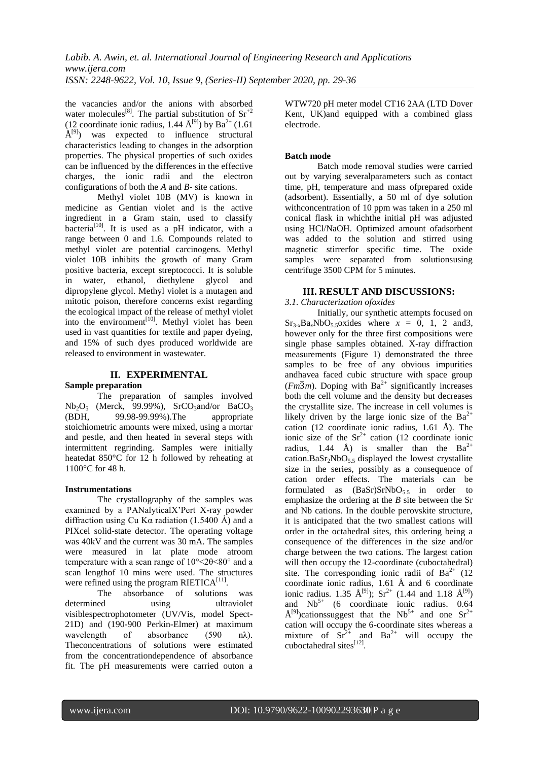the vacancies and/or the anions with absorbed water molecules<sup>[\[8\]](#page-6-7)</sup>. The partial substitution of  $Sr^{+2}$ (12 coordinate ionic radius, 1.44  $\rm \AA^{[9]}$  $\rm \AA^{[9]}$  $\rm \AA^{[9]}$ ) by Ba<sup>2+</sup> (1.61)  $\hat{A}^{[9]}$  $\hat{A}^{[9]}$  $\hat{A}^{[9]}$  was expected to influence structural characteristics leading to changes in the adsorption properties. The physical properties of such oxides can be influenced by the differences in the effective charges, the ionic radii and the electron configurations of both the *A* and *B*- site cations.

Methyl violet 10B (MV) is known in medicine as Gentian violet and is the active ingredient in a Gram stain, used to classify bacteria<sup>[\[10\]](#page-6-9)</sup>. It is used as a pH indicator, with a range between 0 and 1.6. Compounds related to methyl violet are potential carcinogens. Methyl violet 10B inhibits the growth of many Gram positive bacteria, except streptococci. It is soluble in water, ethanol, diethylene glycol and dipropylene glycol. Methyl violet is a mutagen and mitotic poison, therefore concerns exist regarding the ecological impact of the release of methyl violet into the environment<sup>[\[10\]](#page-6-9)</sup>. Methyl violet has been used in vast quantities for textile and paper dyeing, and 15% of such dyes produced worldwide are released to environment in wastewater.

# **II. EXPERIMENTAL**

# **Sample preparation**

The preparation of samples involved  $Nb<sub>2</sub>O<sub>5</sub>$  (Merck, 99.99%), SrCO<sub>3</sub>and/or BaCO<sub>3</sub> (BDH, 99.98-99.99%).The appropriate stoichiometric amounts were mixed, using a mortar and pestle, and then heated in several steps with intermittent regrinding. Samples were initially heatedat 850°C for 12 h followed by reheating at 1100°C for 48 h.

# **Instrumentations**

The crystallography of the samples was examined by a PANalyticalX'Pert X-ray powder diffraction using Cu K $\alpha$  radiation (1.5400 Å) and a PIXcel solid-state detector. The operating voltage was 40kV and the current was 30 mA. The samples were measured in lat plate mode atroom temperature with a scan range of  $10^{\circ}$  <2 $\theta$  <80° and a scan lengthof 10 mins were used. The structures were refined using the program  $RIETICA^{[11]}$  $RIETICA^{[11]}$  $RIETICA^{[11]}$ .

The absorbance of solutions was determined using ultraviolet visiblespectrophotometer (UV/Vis, model Spect-21D) and (190-900 Perkin-Elmer) at maximum wavelength of absorbance (590 nλ). Theconcentrations of solutions were estimated from the concentrationdependence of absorbance fit. The pH measurements were carried outon a

WTW720 pH meter model CT16 2AA (LTD Dover Kent, UK)and equipped with a combined glass electrode.

### **Batch mode**

Batch mode removal studies were carried out by varying severalparameters such as contact time, pH, temperature and mass ofprepared oxide (adsorbent). Essentially, a 50 ml of dye solution withconcentration of 10 ppm was taken in a 250 ml conical flask in whichthe initial pH was adjusted using HCl/NaOH. Optimized amount ofadsorbent was added to the solution and stirred using magnetic stirrerfor specific time. The oxide samples were separated from solutionsusing centrifuge 3500 CPM for 5 minutes.

# **III. RESULT AND DISCUSSIONS:**

*3.1. Characterization ofoxides*

Initially, our synthetic attempts focused on  $Sr<sub>3-x</sub>Ba<sub>x</sub>NbO<sub>5</sub>$  soxides where  $x = 0, 1, 2$  and 3, however only for the three first compositions were single phase samples obtained. X-ray diffraction measurements (Figure 1) demonstrated the three samples to be free of any obvious impurities andhavea faced cubic structure with space group  $(Fm\overline{3}m)$ . Doping with Ba<sup>2+</sup> significantly increases both the cell volume and the density but decreases the crystallite size. The increase in cell volumes is likely driven by the large ionic size of the  $Ba^{2+}$ cation (12 coordinate ionic radius, 1.61 Å). The ionic size of the  $Sr^{2+}$  cation (12 coordinate ionic radius, 1.44 Å) is smaller than the  $Ba^{2+}$ cation.Ba $Sr<sub>2</sub>NbO<sub>5.5</sub>$  displayed the lowest crystallite size in the series, possibly as a consequence of cation order effects. The materials can be formulated as  $(BaSr)SrNbO<sub>55</sub>$  in order to emphasize the ordering at the *B* site between the Sr and Nb cations. In the double perovskite structure, it is anticipated that the two smallest cations will order in the octahedral sites, this ordering being a consequence of the differences in the size and/or charge between the two cations. The largest cation will then occupy the 12-coordinate (cuboctahedral) site. The corresponding ionic radii of  $Ba^{2+}$  (12) coordinate ionic radius, 1.61 Å and 6 coordinate ionic radius. 1.35  $\hat{A}^{[9]}$  $\hat{A}^{[9]}$  $\hat{A}^{[9]}$ );  $Sr^{2+}$  (1.44 and 1.18  $\hat{A}^{[9]}$ ) and  $Nb<sup>5+</sup>$  (6 coordinate ionic radius. 0.64  $\rm \AA^{[9]}$  $\rm \AA^{[9]}$  $\rm \AA^{[9]}$ )cationssuggest that the Nb<sup>5+</sup> and one Sr<sup>2+</sup> cation will occupy the 6-coordinate sites whereas a mixture of  $Sr^{2+}$  and  $Ba^{2+}$  will occupy the cuboctahedral sites<sup>[\[12\]](#page-7-0)</sup>.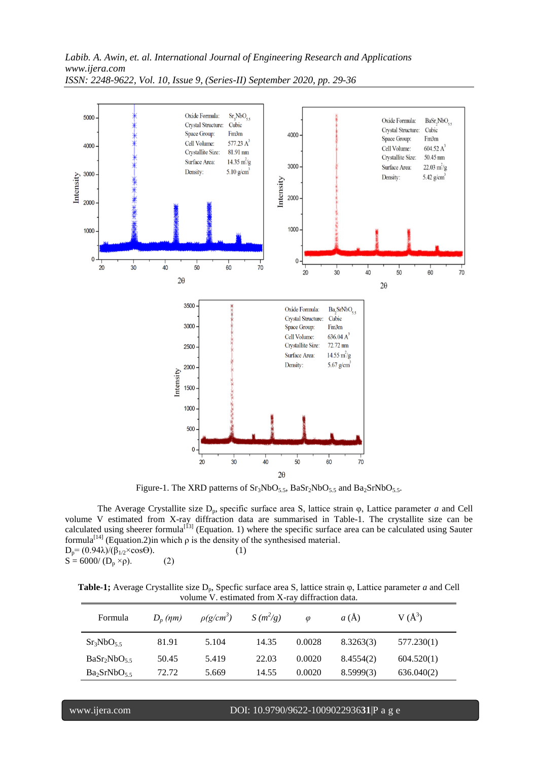

Figure-1. The XRD patterns of  $Sr_3NbO_{5.5}$ ,  $BaSr_2NbO_{5.5}$  and  $Ba_2SrNbO_{5.5}$ .

The Average Crystallite size  $D_p$ , specific surface area S, lattice strain  $\varphi$ , Lattice parameter *a* and Cell volume V estimated from X-ray diffraction data are summarised in Table-1. The crystallite size can be calculated using sheerer formula<sup>[\[13\]](#page-7-1)</sup> (Equation. 1) where the specific surface area can be calculated using Sauter formula<sup>[\[14\]](#page-7-2)</sup> (Equation.2)in which  $\rho$  is the density of the synthesised material.  $D_p = (0.94\lambda)/(\beta_{1/2} \times \cos\Theta).$  (1)  $S = 6000/(D_p \times \rho)$ . (2)

**Table-1;** Average Crystallite size D<sub>p</sub>, Specfic surface area S, lattice strain φ, Lattice parameter *a* and Cell volume V. estimated from X-ray diffraction data.

| Formula                             | $D_n$ (nm) | $\rho(g/cm^3)$ | $S(m^2/g)$ | $\varnothing$ | a(A)      | $V(A^3)$   |
|-------------------------------------|------------|----------------|------------|---------------|-----------|------------|
| $Sr_3NbO_{5.5}$                     | 81.91      | 5.104          | 14.35      | 0.0028        | 8.3263(3) | 577.230(1) |
| BaSr <sub>2</sub> NbO <sub>55</sub> | 50.45      | 5.419          | 22.03      | 0.0020        | 8.4554(2) | 604.520(1) |
| Ba <sub>2</sub> SrNbO <sub>55</sub> | 72.72      | 5.669          | 14.55      | 0.0020        | 8.5999(3) | 636.040(2) |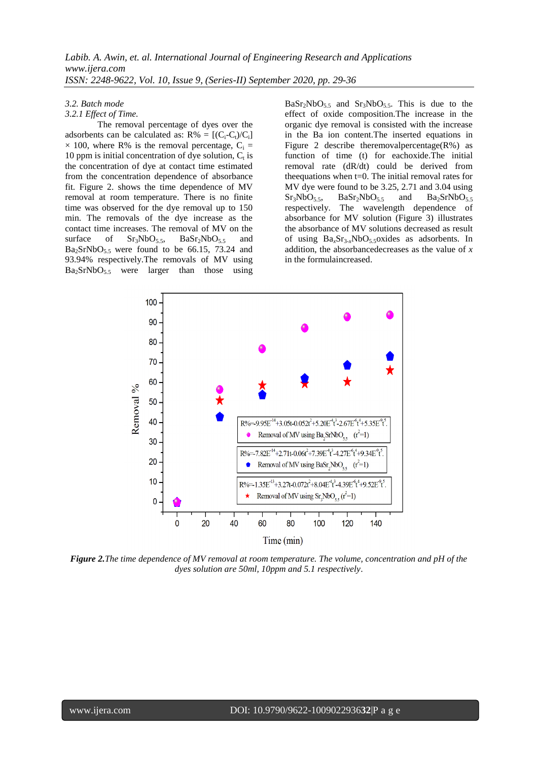#### *3.2. Batch mode*

#### *3.2.1 Effect of Time.*

The removal percentage of dyes over the adsorbents can be calculated as:  $R\% = [(C_i-C_i)/C_i]$  $\times$  100, where R% is the removal percentage, C<sub>i</sub> = 10 ppm is initial concentration of dye solution,  $C_t$  is the concentration of dye at contact time estimated from the concentration dependence of absorbance fit. Figure 2. shows the time dependence of MV removal at room temperature. There is no finite time was observed for the dye removal up to 150 min. The removals of the dye increase as the contact time increases. The removal of MV on the surface of  $Sr_3NbO_{5.5}$ ,  $BaSr_2NbO_{5.5}$  and  $Ba<sub>2</sub>SrNbO<sub>5.5</sub>$  were found to be 66.15, 73.24 and 93.94% respectively.The removals of MV using  $Ba<sub>2</sub>SrNbO<sub>5.5</sub>$  were larger than those using

 $BaSr<sub>2</sub>NbO<sub>55</sub>$  and  $Sr<sub>3</sub>NbO<sub>55</sub>$ . This is due to the effect of oxide composition.The increase in the organic dye removal is consisted with the increase in the Ba ion content.The inserted equations in Figure 2 describe theremoval percentage  $(R\%)$  as function of time (t) for eachoxide.The initial removal rate (dR/dt) could be derived from theequations when t=0. The initial removal rates for MV dye were found to be 3.25, 2.71 and 3.04 using  $Sr<sub>3</sub>NbO<sub>5.5</sub>$ ,  $BaSr<sub>2</sub>NbO<sub>5.5</sub>$  and  $Ba<sub>2</sub>SrNbO<sub>5.5</sub>$ respectively. The wavelength dependence of absorbance for MV solution (Figure 3) illustrates the absorbance of MV solutions decreased as result of using Ba*x*Sr3-*x*NbO5.5oxides as adsorbents. In addition, the absorbancedecreases as the value of *x* in the formulaincreased.



*Figure 2.The time dependence of MV removal at room temperature. The volume, concentration and pH of the dyes solution are 50ml, 10ppm and 5.1 respectively*.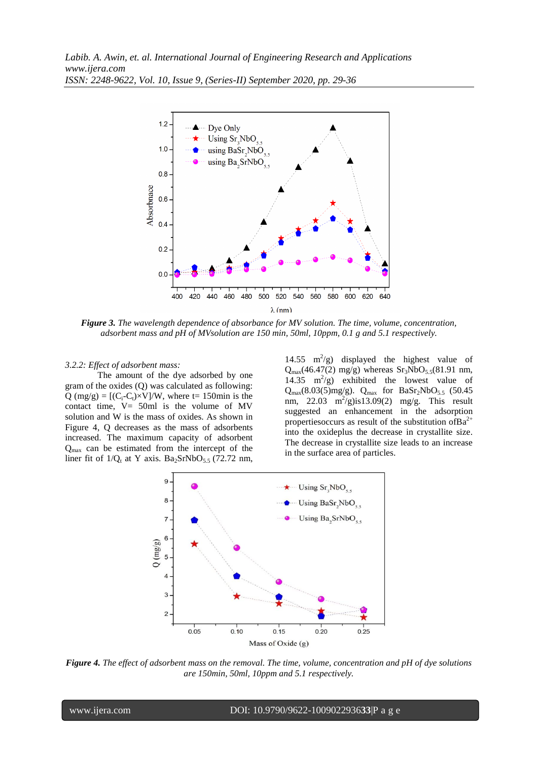

*Figure 3. The wavelength dependence of absorbance for MV solution. The time, volume, concentration, adsorbent mass and pH of MVsolution are 150 min, 50ml, 10ppm, 0.1 g and 5.1 respectively.*

### *3.2.2: Effect of adsorbent mass:*

The amount of the dye adsorbed by one gram of the oxides (Q) was calculated as following:  $Q \text{ (mg/g)} = [(C_i-C_t) \times V] / W$ , where t= 150min is the contact time, V= 50ml is the volume of MV solution and W is the mass of oxides. As shown in Figure 4, Q decreases as the mass of adsorbents increased. The maximum capacity of adsorbent Qmax can be estimated from the intercept of the liner fit of  $1/Q_t$  at Y axis. Ba<sub>2</sub>SrNbO<sub>5.5</sub> (72.72 nm,

14.55  $\text{m}^2/\text{g}$ ) displayed the highest value of  $Q_{\text{max}}(46.47(2) \text{ mg/g})$  whereas  $Sr_3NbO_{5.5}(81.91 \text{ nm})$ , 14.35  $m^2/g$ ) exhibited the lowest value of  $Q_{\text{max}}(8.03(5) \text{mg/g})$ .  $Q_{\text{max}}$  for BaSr<sub>2</sub>NbO<sub>5.5</sub> (50.45) nm,  $22.03 \text{ m}^2/\text{g}$ )is13.09(2) mg/g. This result suggested an enhancement in the adsorption properties occurs as result of the substitution of  $Ba^{2+}$ into the oxideplus the decrease in crystallite size. The decrease in crystallite size leads to an increase in the surface area of particles.



*Figure 4. The effect of adsorbent mass on the removal. The time, volume, concentration and pH of dye solutions are 150min, 50ml, 10ppm and 5.1 respectively.*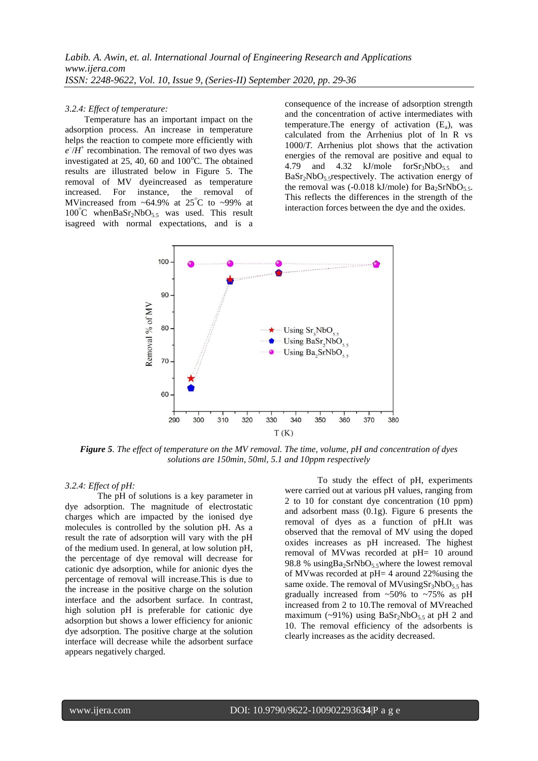#### *3.2.4: Effect of temperature:*

Temperature has an important impact on the adsorption process. An increase in temperature helps the reaction to compete more efficiently with  $e^{-}/H^+$  recombination. The removal of two dyes was investigated at  $25$ , 40, 60 and  $100^{\circ}$ C. The obtained results are illustrated below in Figure 5. The removal of MV dyeincreased as temperature increased. For instance, the removal of MVincreased from  $~64.9\%$  at 25<sup>°</sup>C to ~99% at  $100^{\circ}$ C whenBaSr<sub>2</sub>NbO<sub>5.5</sub> was used. This result isagreed with normal expectations, and is a

consequence of the increase of adsorption strength and the concentration of active intermediates with temperature. The energy of activation  $(E_a)$ , was calculated from the Arrhenius plot of ln R vs 1000/*T.* Arrhenius plot shows that the activation energies of the removal are positive and equal to 4.79 and 4.32 kJ/mole  $forsr_3NbO_5$  and  $BaSr<sub>2</sub>NbO<sub>5.5</sub> respectively.$  The activation energy of the removal was (-0.018 kJ/mole) for  $Ba<sub>2</sub>SrNbO<sub>5.5</sub>$ . This reflects the differences in the strength of the interaction forces between the dye and the oxides.



*Figure 5. The effect of temperature on the MV removal. The time, volume, pH and concentration of dyes solutions are 150min, 50ml, 5.1 and 10ppm respectively*

#### *3.2.4: Effect of pH:*

The pH of solutions is a key parameter in dye adsorption. The magnitude of electrostatic charges which are impacted by the ionised dye molecules is controlled by the solution pH. As a result the rate of adsorption will vary with the pH of the medium used. In general, at low solution pH, the percentage of dye removal will decrease for cationic dye adsorption, while for anionic dyes the percentage of removal will increase.This is due to the increase in the positive charge on the solution interface and the adsorbent surface. In contrast, high solution pH is preferable for cationic dye adsorption but shows a lower efficiency for anionic dye adsorption. The positive charge at the solution interface will decrease while the adsorbent surface appears negatively charged.

To study the effect of pH, experiments were carried out at various pH values, ranging from 2 to 10 for constant dye concentration (10 ppm) and adsorbent mass (0.1g). Figure 6 presents the removal of dyes as a function of pH.It was observed that the removal of MV using the doped oxides increases as pH increased. The highest removal of MVwas recorded at pH= 10 around 98.8 % usingBa<sub>2</sub>SrNbO<sub>5.5</sub> where the lowest removal of MVwas recorded at pH= 4 around 22%using the same oxide. The removal of MVusing $Sr<sub>3</sub>NbO<sub>5.5</sub>$  has gradually increased from  $~50\%$  to  $~75\%$  as pH increased from 2 to 10.The removal of MVreached maximum (~91%) using  $BaSr<sub>2</sub>NbO<sub>5.5</sub>$  at pH 2 and 10. The removal efficiency of the adsorbents is clearly increases as the acidity decreased.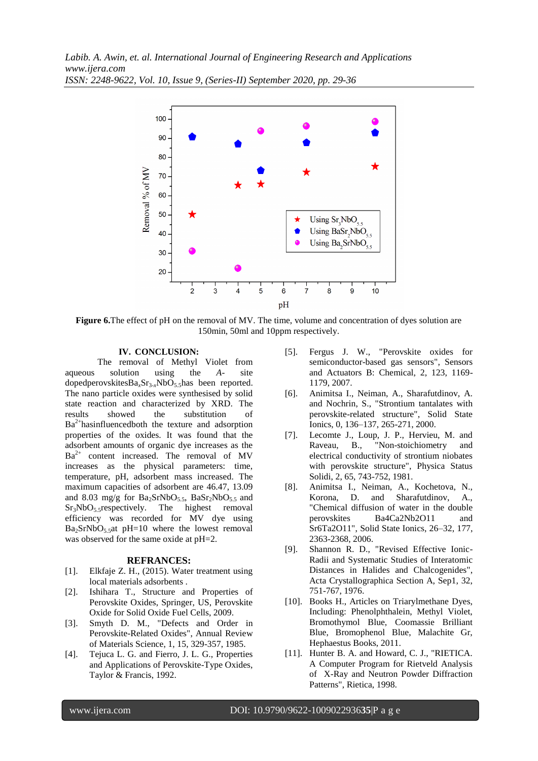

**Figure 6.**The effect of pH on the removal of MV. The time, volume and concentration of dyes solution are 150min, 50ml and 10ppm respectively.

#### **IV. CONCLUSION:**

The removal of Methyl Violet from aqueous solution using the *A*- site dopedperovskitesBa<sub>x</sub>Sr<sub>3-x</sub>NbO<sub>5.5</sub>has been reported. The nano particle oxides were synthesised by solid state reaction and characterized by XRD. The results showed the substitution of  $Ba<sup>2+</sup> has influenced both the texture and adsorption$ properties of the oxides. It was found that the adsorbent amounts of organic dye increases as the  $Ba^{2+}$  content increased. The removal of MV increases as the physical parameters: time, temperature, pH, adsorbent mass increased. The maximum capacities of adsorbent are 46.47, 13.09 and 8.03 mg/g for  $Ba_2SrNbO_{5.5}$ ,  $BaSr_2NbO_{5.5}$  and  $Sr_3NbO_5$ , respectively. The highest removal The highest removal efficiency was recorded for MV dye using  $Ba<sub>2</sub>SrNbO<sub>5.5</sub>at pH=10$  where the lowest removal was observed for the same oxide at  $pH=2$ .

#### **REFRANCES:**

- <span id="page-6-0"></span>[1]. Elkfaje Z. H., (2015). Water treatment using local materials adsorbents .
- <span id="page-6-1"></span>[2]. Ishihara T., Structure and Properties of Perovskite Oxides, Springer, US, Perovskite Oxide for Solid Oxide Fuel Cells, 2009.
- <span id="page-6-2"></span>[3]. Smyth D. M., "Defects and Order in Perovskite-Related Oxides", Annual Review of Materials Science, 1, 15, 329-357, 1985.
- <span id="page-6-3"></span>[4]. Tejuca L. G. and Fierro, J. L. G., Properties and Applications of Perovskite-Type Oxides, Taylor & Francis, 1992.
- <span id="page-6-4"></span>[5]. Fergus J. W., "Perovskite oxides for semiconductor-based gas sensors", Sensors and Actuators B: Chemical, 2, 123, 1169- 1179, 2007.
- <span id="page-6-5"></span>[6]. Animitsa I., Neiman, A., Sharafutdinov, A. and Nochrin, S., "Strontium tantalates with perovskite-related structure", Solid State Ionics, 0, 136–137, 265-271, 2000.
- <span id="page-6-6"></span>[7]. Lecomte J., Loup, J. P., Hervieu, M. and Raveau, B., "Non-stoichiometry and electrical conductivity of strontium niobates with perovskite structure", Physica Status Solidi, 2, 65, 743-752, 1981.
- <span id="page-6-7"></span>[8]. Animitsa I., Neiman, A., Kochetova, N., Korona, D. and Sharafutdinov, A., "Chemical diffusion of water in the double perovskites Ba4Ca2Nb2O11 and Sr6Ta2O11", Solid State Ionics, 26–32, 177, 2363-2368, 2006.
- <span id="page-6-8"></span>[9]. Shannon R. D., "Revised Effective Ionic-Radii and Systematic Studies of Interatomic Distances in Halides and Chalcogenides", Acta Crystallographica Section A, Sep1, 32, 751-767, 1976.
- <span id="page-6-9"></span>[10]. Books H., Articles on Triarylmethane Dyes, Including: Phenolphthalein, Methyl Violet, Bromothymol Blue, Coomassie Brilliant Blue, Bromophenol Blue, Malachite Gr, Hephaestus Books, 2011.
- <span id="page-6-10"></span>[11]. Hunter B. A. and Howard, C. J., "RIETICA. A Computer Program for Rietveld Analysis of X-Ray and Neutron Powder Diffraction Patterns", Rietica, 1998.